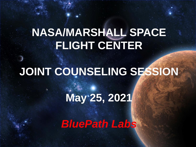### **NASA/MARSHALL SPACE FLIGHT CENTER**

### **JOINT COUNSELING SESSION**

## **May 25, 2021**

*BluePath Labs*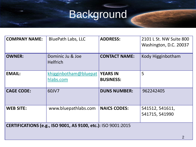# Background

| <b>COMPANY NAME:</b>                                          | <b>BluePath Labs, LLC</b>           | <b>ADDRESS:</b>                     | 2101 L St. NW Suite 800<br>Washington, D.C. 20037 |  |
|---------------------------------------------------------------|-------------------------------------|-------------------------------------|---------------------------------------------------|--|
| <b>OWNER:</b>                                                 | Dominic Ju & Joe<br><b>Helfrich</b> | <b>CONTACT NAME:</b>                | Kody Higginbotham                                 |  |
| <b>EMAIL:</b>                                                 | khigginbotham@bluepat<br>hlabs.com  | <b>YEARS IN</b><br><b>BUSINESS:</b> | 5                                                 |  |
| <b>CAGE CODE:</b>                                             | 60JV7                               | <b>DUNS NUMBER:</b>                 | 962242405                                         |  |
| <b>WEB SITE:</b>                                              | www.bluepathlabs.com                | <b>NAICS CODES:</b>                 | 541512, 541611,<br>541715, 541990                 |  |
| CERTIFICATIONS (e.g., ISO 9001, AS 9100, etc.): ISO 9001:2015 |                                     |                                     |                                                   |  |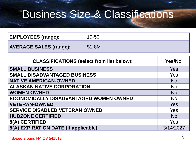### Business Size & Classifications

| <b>EMPLOYEES (range):</b>     | 10-50   |
|-------------------------------|---------|
| <b>AVERAGE SALES (range):</b> | $$1-8M$ |

| <b>CLASSIFICATIONS (select from list below):</b> | Yes/No     |
|--------------------------------------------------|------------|
| <b>SMALL BUSINESS</b>                            | Yes        |
| <b>SMALL DISADVANTAGED BUSINESS</b>              | <b>Yes</b> |
| <b>NATIVE AMERICAN-OWNED</b>                     | <b>No</b>  |
| <b>ALASKAN NATIVE CORPORATION</b>                | <b>No</b>  |
| <b>WOMEN OWNED</b>                               | <b>No</b>  |
| <b>ECONOMICALLY DISADVANTAGED WOMEN OWNED</b>    | <b>No</b>  |
| <b>VETERAN-OWNED</b>                             | <b>Yes</b> |
| <b>SERVICE DISABLED VETERAN OWNED</b>            | <b>Yes</b> |
| <b>HUBZONE CERTIFIED</b>                         | <b>No</b>  |
| 8(A) CERTIFIED                                   | <b>Yes</b> |
| 8(A) EXPIRATION DATE (if applicable)             | 3/14/2027  |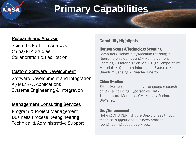### **Primary Capabilities**

#### Research and Analysis

Scientific Portfolio Analysis China/PLA Studies Collaboration & Facilitation

#### Custom Software Development

Software Development and Integration AI/ML/RPA Applications Systems Engineering & Integration

#### Management Consulting Services

Program & Project Management Business Process Reengineering Technical & Administrative Support

#### Capability Highlights

#### Horizon Scans & Technology Scouting

Computer Science • AI/Machine Learning • Neuromorphic Computing • Reinforcement Learning • Materials Science • High Temperature Materials • Ouantum Information Systems • Quantum Sensing • Directed Energy

#### China Studies

Extensive open source native language research on China including Hypersonics, High Temperature Materials, Civil-Military Fusion, UAV's, etc.

#### Drug Enforcement

Helping DHS CBP fight the Opioid crises through technical support and business process reengineering support services.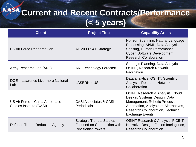### ASA **Current and Recent Contracts/Performance (< 5 years)**

| <b>Client</b>                                              | <b>Project Title</b>                                                                         | <b>Capability Areas</b>                                                                                                                                                                                                   |
|------------------------------------------------------------|----------------------------------------------------------------------------------------------|---------------------------------------------------------------------------------------------------------------------------------------------------------------------------------------------------------------------------|
| <b>US Air Force Research Lab</b>                           | AF 2030 S&T Strategy                                                                         | Horizon Scanning, Natural Language<br>Processing, Al/ML, Data Analysis,<br>Sensing, Human Performance,<br>Cyber, Software Development,<br><b>Research Collaboration</b>                                                   |
| Army Research Lab (ARL)                                    | <b>ARL Technology Forecast</b>                                                               | Strategic Planning, Data Analytics,<br><b>OSINT, Research Network</b><br>Facilitation                                                                                                                                     |
| DOE - Lawrence Livermore National<br>Lab                   | <b>LASERNet US</b>                                                                           | Data analytics, OSINT, Scientific<br>Analysis, Research Network<br>Collaboration                                                                                                                                          |
| US Air Force – China Aerospace<br>Studies Institute (CASI) | <b>CASI Associates &amp; CASI</b><br>Periodicals                                             | <b>OSINT Research &amp; Analysis, Cloud</b><br>Design, Systems Design, Data<br>Management, Robotic Process<br>Automation, Analysis-of-Alternatives,<br><b>Research Collaboration, Technical</b><br><b>Exchange Events</b> |
| Defense Threat Reduction Agency                            | <b>Strategic Trends: Studies</b><br>Focused on Competition with<br><b>Revisionist Powers</b> | <b>OSINT Research &amp; Analysis, FICINT</b><br>Narrative Design, Fusion Intelligence,<br><b>Research Collaboration</b>                                                                                                   |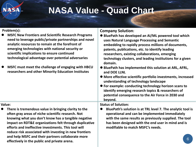### **NASA Value - Quad Chart**

#### **Problem(s):**

- ⚫ **MSFC New Frontiers and Scientific Research Programs need to leverage public/private partnerships and novel analytic resources to remain at the forefront of emerging technologies with national security or scientific implications to ensure continued technological advantage over potential adversaries**
- ⚫ **MSFC must meet the challenge of engaging with HBCU researchers and other Minority Education Institutes**

#### **Company Solution:**

- ⚫ **BluePath has developed an AI/ML powered tool which uses Natural Language Processing and Semantic embedding to rapidly process millions of documents, patents, publications, etc. to identify leading researchers, existing collaborations, emerging technology clusters, and leading institutions for a given domain.**
- **BluePath has implemented this solution at ARL, AFRL, and DOE LLNL**
- ⚫ **More effective scientific portfolio investments, increased understanding of technology landscape**
- ⚫ **For example: conducting technology horizon scans to identify emerging research topics & researchers of potential consequence to the Air Force in 2030 and beyond.**

**Status of Solution:**

⚫ **BluePath's solution is at TRL level 7. The analytic tool is operational and can be implemented immediately with the same results as previously supplied. The tool has been designed with the end user in mind and is modifiable to match MSFC's needs.** 

#### **Value:**

⚫ **There is tremendous value in bringing clarity to the often gray areas of niche scientific research. Not knowing what you don't know has a tangible negative impact on RDT&E organizations felt through duplicative efforts and ineffective investments. This tool will reduce risk associated with investing in new frontiers and help MSFC and their partners collaborate more effectively in the public and private arena.**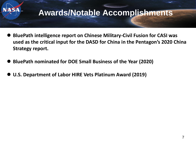

- ⚫ **BluePath intelligence report on Chinese Military-Civil Fusion for CASI was used as the critical input for the DASD for China in the Pentagon's 2020 China Strategy report.**
- ⚫ **BluePath nominated for DOE Small Business of the Year (2020)**
- ⚫ **U.S. Department of Labor HIRE Vets Platinum Award (2019)**